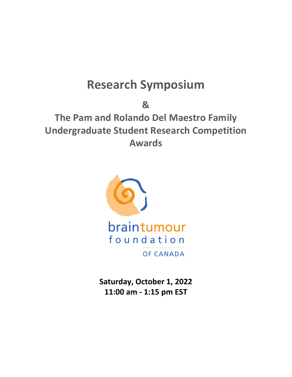# **Research Symposium**

**&**

**The Pam and Rolando Del Maestro Family Undergraduate Student Research Competition Awards**



**Saturday, October 1, 2022 11:00 am - 1:15 pm EST**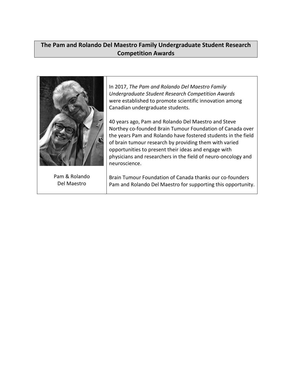# **The Pam and Rolando Del Maestro Family Undergraduate Student Research Competition Awards**

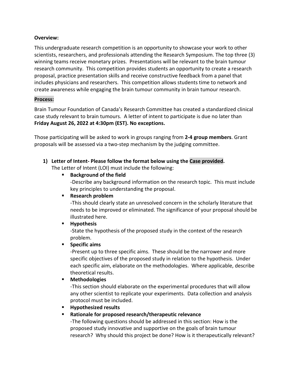#### **Overview:**

This undergraduate research competition is an opportunity to showcase your work to other scientists, researchers, and professionals attending the Research Symposium. The top three (3) winning teams receive monetary prizes. Presentations will be relevant to the brain tumour research community. This competition provides students an opportunity to create a research proposal, practice presentation skills and receive constructive feedback from a panel that includes physicians and researchers. This competition allows students time to network and create awareness while engaging the brain tumour community in brain tumour research.

### **Process:**

Brain Tumour Foundation of Canada's Research Committee has created a standardized clinical case study relevant to brain tumours. A letter of intent to participate is due no later than **Friday August 26, 2022 at 4:30pm (EST). No exceptions.**

Those participating will be asked to work in groups ranging from **2-4 group members**. Grant proposals will be assessed via a two-step mechanism by the judging committee.

**1) Letter of Intent- Please follow the format below using the Case provided.** 

The Letter of Intent (LOI) must include the following:

**Background of the field**

-Describe any background information on the research topic. This must include key principles to understanding the proposal.

**Research problem**

-This should clearly state an unresolved concern in the scholarly literature that needs to be improved or eliminated. The significance of your proposal should be illustrated here.

**Hypothesis**

-State the hypothesis of the proposed study in the context of the research problem.

**Specific aims** 

-Present up to three specific aims. These should be the narrower and more specific objectives of the proposed study in relation to the hypothesis. Under each specific aim, elaborate on the methodologies. Where applicable, describe theoretical results.

**Methodologies**

-This section should elaborate on the experimental procedures that will allow any other scientist to replicate your experiments. Data collection and analysis protocol must be included.

**Hypothesized results**

# **Rationale for proposed research/therapeutic relevance**

-The following questions should be addressed in this section: How is the proposed study innovative and supportive on the goals of brain tumour research? Why should this project be done? How is it therapeutically relevant?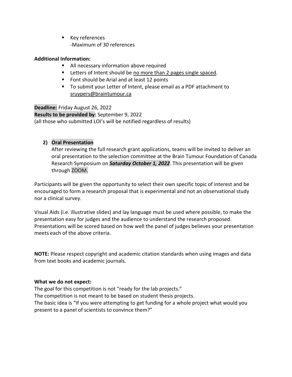**Key references** -Maximum of 30 references

# **Additional Information:**

- All necessary information above required
- **EXTER 1** Letters of Intent should be no more than 2 pages single spaced.
- Font should be Arial and at least 12 points
- To submit your Letter of Intent, please email as a PDF attachment to [sruypers@braintumour.ca](mailto:sruypers@braintumour.ca)

**Deadline:** Friday August 26, 2022 **Results to be provided by:** September 9, 2022 (all those who submitted LOI's will be notified regardless of results)

# **2) Oral Presentation**

After reviewing the full research grant applications, teams will be invited to deliver an oral presentation to the selection committee at the Brain Tumour Foundation of Canada Research Symposium on *Saturday October 1, 2022*. This presentation will be given through ZOOM.

Participants will be given the opportunity to select their own specific topic of interest and be encouraged to form a research proposal that is experimental and not an observational study nor a clinical survey.

Visual Aids (i.e. illustrative slides) and lay language must be used where possible, to make the presentation easy for judges and the audience to understand the research proposed. Presentations will be scored based on how well the panel of judges believes your presentation meets each of the above criteria.

**NOTE:** Please respect copyright and academic citation standards when using images and data from text books and academic journals.

# **What we do not expect:**

The goal for this competition is not "ready for the lab projects." The competition is not meant to be based on student thesis projects. The basic idea is "If you were attempting to get funding for a whole project what would you present to a panel of scientists to convince them?"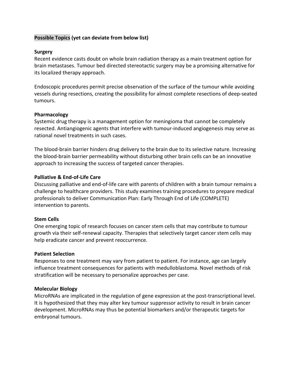# **Possible Topics (yet can deviate from below list)**

#### **Surgery**

Recent evidence casts doubt on whole brain radiation therapy as a main treatment option for brain metastases. Tumour bed directed stereotactic surgery may be a promising alternative for its localized therapy approach.

Endoscopic procedures permit precise observation of the surface of the tumour while avoiding vessels during resections, creating the possibility for almost complete resections of deep-seated tumours.

#### **Pharmacology**

Systemic drug therapy is a management option for meningioma that cannot be completely resected. Antiangiogenic agents that interfere with tumour-induced angiogenesis may serve as rational novel treatments in such cases.

The blood-brain barrier hinders drug delivery to the brain due to its selective nature. Increasing the blood-brain barrier permeability without disturbing other brain cells can be an innovative approach to increasing the success of targeted cancer therapies.

#### **Palliative & End-of-Life Care**

Discussing palliative and end-of-life care with parents of children with a brain tumour remains a challenge to healthcare providers. This study examines training procedures to prepare medical professionals to deliver Communication Plan: Early Through End of Life (COMPLETE) intervention to parents.

#### **Stem Cells**

One emerging topic of research focuses on cancer stem cells that may contribute to tumour growth via their self-renewal capacity. Therapies that selectively target cancer stem cells may help eradicate cancer and prevent reoccurrence.

#### **Patient Selection**

Responses to one treatment may vary from patient to patient. For instance, age can largely influence treatment consequences for patients with medulloblastoma. Novel methods of risk stratification will be necessary to personalize approaches per case.

#### **Molecular Biology**

MicroRNAs are implicated in the regulation of gene expression at the post-transcriptional level. It is hypothesized that they may alter key tumour suppressor activity to result in brain cancer development. MicroRNAs may thus be potential biomarkers and/or therapeutic targets for embryonal tumours.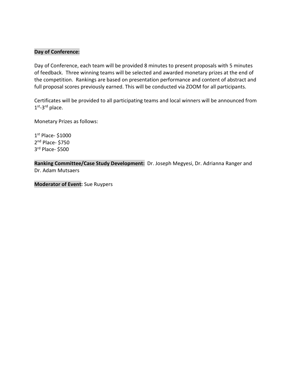#### **Day of Conference:**

Day of Conference, each team will be provided 8 minutes to present proposals with 5 minutes of feedback. Three winning teams will be selected and awarded monetary prizes at the end of the competition. Rankings are based on presentation performance and content of abstract and full proposal scores previously earned. This will be conducted via ZOOM for all participants.

Certificates will be provided to all participating teams and local winners will be announced from 1st-3<sup>rd</sup> place.

Monetary Prizes as follows:

1st Place- \$1000 2nd Place- \$750 3rd Place- \$500

**Ranking Committee/Case Study Development:** Dr. Joseph Megyesi, Dr. Adrianna Ranger and Dr. Adam Mutsaers

**Moderator of Event:** Sue Ruypers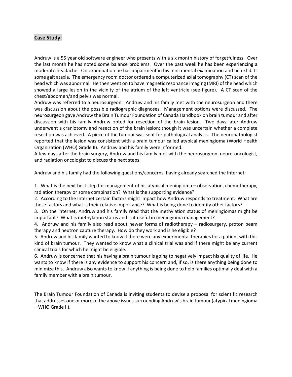#### **Case Study:**

Andruw is a 55 year old software engineer who presents with a six month history of forgetfulness. Over the last month he has noted some balance problems. Over the past week he has been experiencing a moderate headache. On examination he has impairment in his mini mental examination and he exhibits some gait ataxia. The emergency room doctor ordered a computerized axial tomography (CT) scan of the head which was abnormal. He then went on to have magnetic resonance imaging (MRI) of the head which showed a large lesion in the vicinity of the atrium of the left ventricle (see figure). A CT scan of the chest/abdomen/and pelvis was normal.

Andruw was referred to a neurosurgeon. Andruw and his family met with the neurosurgeon and there was discussion about the possible radiographic diagnoses. Management options were discussed. The neurosurgeon gave Andruw the Brain Tumour Foundation of Canada Handbook on brain tumour and after discussion with his family Andruw opted for resection of the brain lesion. Two days later Andruw underwent a craniotomy and resection of the brain lesion; though it was uncertain whether a complete resection was achieved. A piece of the tumour was sent for pathological analysis. The neuropathologist reported that the lesion was consistent with a brain tumour called atypical meningioma (World Health Organization (WHO) Grade II). Andruw and his family were informed.

A few days after the brain surgery, Andruw and his family met with the neurosurgeon, neuro-oncologist, and radiation oncologist to discuss the next steps.

Andruw and his family had the following questions/concerns, having already searched the Internet:

1. What is the next best step for management of his atypical meningioma – observation, chemotherapy, radiation therapy or some combination? What is the supporting evidence?

2. According to the Internet certain factors might impact how Andruw responds to treatment. What are these factors and what is their relative importance? What is being done to identify other factors?

3. On the internet, Andruw and his family read that the methylation status of meningiomas might be important? What is methylation status and is it useful in meningioma management?

4. Andruw and his family also read about newer forms of radiotherapy – radiosurgery, proton beam therapy and neutron capture therapy. How do they work and is he eligible?

5. Andruw and his family wanted to know if there were any experimental therapies for a patient with this kind of brain tumour. They wanted to know what a clinical trial was and if there might be any current clinical trials for which he might be eligible.

6. Andruw is concerned that his having a brain tumour is going to negatively impact his quality of life. He wants to know if there is any evidence to support his concern and, if so, is there anything being done to minimize this. Andruw also wants to know if anything is being done to help families optimally deal with a family member with a brain tumour.

The Brain Tumour Foundation of Canada is inviting students to devise a proposal for scientific research that addresses one or more of the above issues surrounding Andruw's brain tumour (atypical meningioma – WHO Grade II).